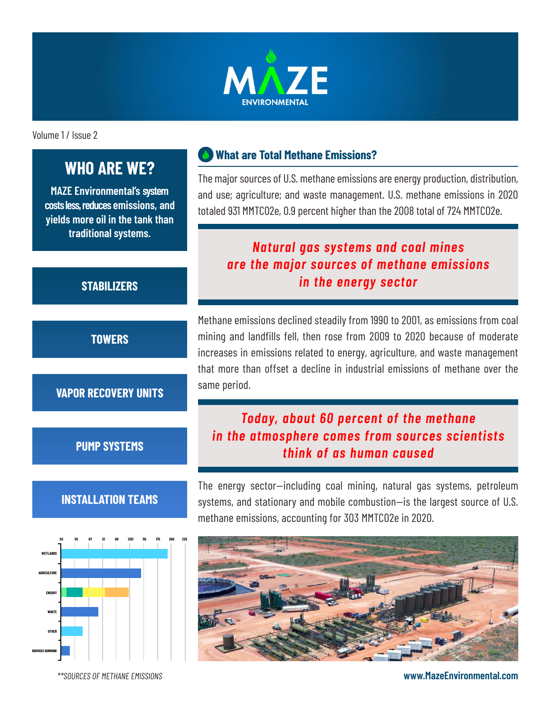

Volume 1 / Issue 2

# **WHO ARE WE?**

**MAZE Environmental's system costs less, reduces emissions, and yields more oil in the tank than traditional systems.**

## **What are Total Methane Emissions?**

The major sources of U.S. methane emissions are energy production, distribution, and use; agriculture; and waste management. U.S. methane emissions in 2020 totaled 931 MMTCO2e, 0.9 percent higher than the 2008 total of 724 MMTCO2e.

# *Natural gas systems and coal mines are the major sources of methane emissions in the energy sector*

Methane emissions declined steadily from 1990 to 2001, as emissions from coal mining and landfills fell, then rose from 2009 to 2020 because of moderate increases in emissions related to energy, agriculture, and waste management that more than offset a decline in industrial emissions of methane over the same period.

# *Today, about 60 percent of the methane in the atmosphere comes from sources scientists think of as human caused*

The energy sector—including coal mining, natural gas systems, petroleum systems, and stationary and mobile combustion—is the largest source of U.S. methane emissions, accounting for 303 MMTCO2e in 2020.



**www.MazeEnvironmental.com**

#### **STABILIZERS**

**TOWERS**

#### **VAPOR RECOVERY UNITS**

**PUMP SYSTEMS**

## **INSTALLATION TEAMS**